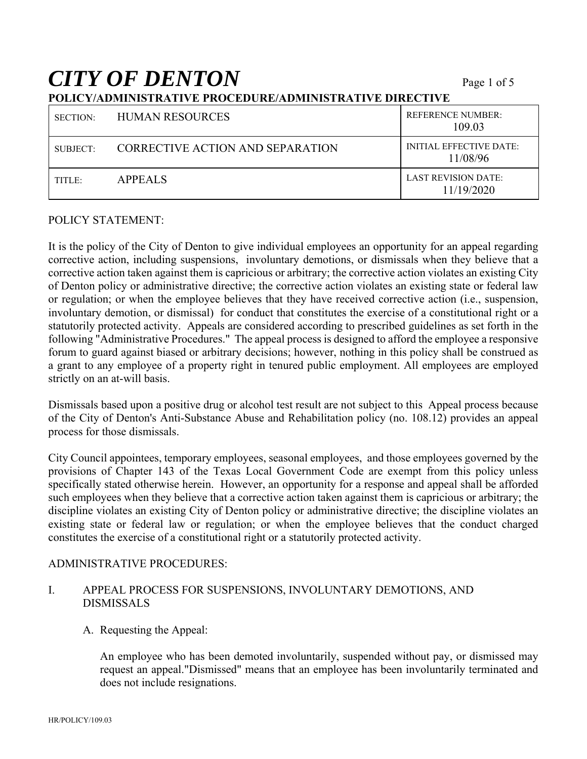# *CITY OF DENTON* Page 1 of 5

### **POLICY/ADMINISTRATIVE PROCEDURE/ADMINISTRATIVE DIRECTIVE**

| <b>SECTION:</b> | <b>HUMAN RESOURCES</b>           | <b>REFERENCE NUMBER:</b><br>109.03         |
|-----------------|----------------------------------|--------------------------------------------|
| SUBJECT:        | CORRECTIVE ACTION AND SEPARATION | <b>INITIAL EFFECTIVE DATE:</b><br>11/08/96 |
| TITLE:          | <b>APPEALS</b>                   | <b>LAST REVISION DATE:</b><br>11/19/2020   |

#### POLICY STATEMENT:

It is the policy of the City of Denton to give individual employees an opportunity for an appeal regarding corrective action, including suspensions, involuntary demotions, or dismissals when they believe that a corrective action taken against them is capricious or arbitrary; the corrective action violates an existing City of Denton policy or administrative directive; the corrective action violates an existing state or federal law or regulation; or when the employee believes that they have received corrective action (i.e., suspension, involuntary demotion, or dismissal) for conduct that constitutes the exercise of a constitutional right or a statutorily protected activity. Appeals are considered according to prescribed guidelines as set forth in the following "Administrative Procedures." The appeal process is designed to afford the employee a responsive forum to guard against biased or arbitrary decisions; however, nothing in this policy shall be construed as a grant to any employee of a property right in tenured public employment. All employees are employed strictly on an at-will basis.

Dismissals based upon a positive drug or alcohol test result are not subject to this Appeal process because of the City of Denton's Anti-Substance Abuse and Rehabilitation policy (no. 108.12) provides an appeal process for those dismissals.

City Council appointees, temporary employees, seasonal employees, and those employees governed by the provisions of Chapter 143 of the Texas Local Government Code are exempt from this policy unless specifically stated otherwise herein. However, an opportunity for a response and appeal shall be afforded such employees when they believe that a corrective action taken against them is capricious or arbitrary; the discipline violates an existing City of Denton policy or administrative directive; the discipline violates an existing state or federal law or regulation; or when the employee believes that the conduct charged constitutes the exercise of a constitutional right or a statutorily protected activity.

#### ADMINISTRATIVE PROCEDURES:

### I. APPEAL PROCESS FOR SUSPENSIONS, INVOLUNTARY DEMOTIONS, AND DISMISSALS

A. Requesting the Appeal:

An employee who has been demoted involuntarily, suspended without pay, or dismissed may request an appeal."Dismissed" means that an employee has been involuntarily terminated and does not include resignations.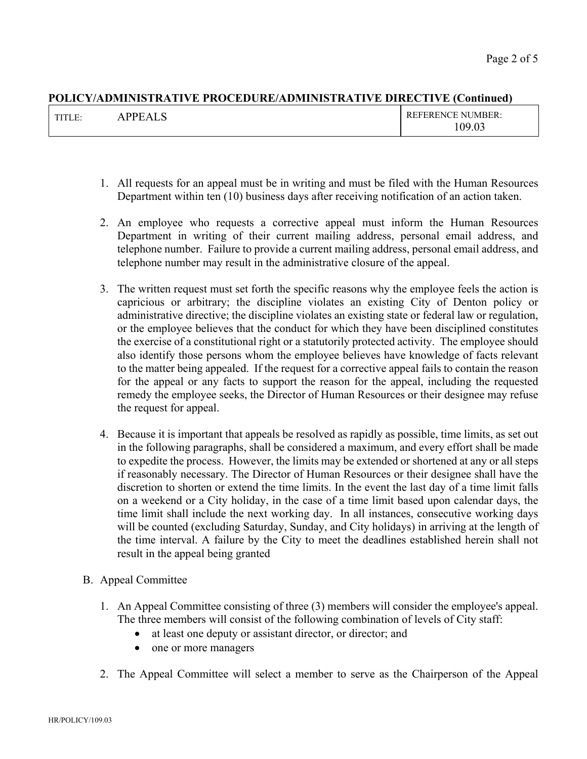| $T^{\prime}$<br>н.<br>. | $\mathbf{L}$<br>$\sim$<br>レレト<br>$\Lambda$ | <b>EFERENCE NUMBER:</b>      |
|-------------------------|--------------------------------------------|------------------------------|
|                         |                                            | 09.03<br>$\cdot \circ \cdot$ |

- 1. All requests for an appeal must be in writing and must be filed with the Human Resources Department within ten (10) business days after receiving notification of an action taken.
- 2. An employee who requests a corrective appeal must inform the Human Resources Department in writing of their current mailing address, personal email address, and telephone number. Failure to provide a current mailing address, personal email address, and telephone number may result in the administrative closure of the appeal.
- 3. The written request must set forth the specific reasons why the employee feels the action is capricious or arbitrary; the discipline violates an existing City of Denton policy or administrative directive; the discipline violates an existing state or federal law or regulation, or the employee believes that the conduct for which they have been disciplined constitutes the exercise of a constitutional right or a statutorily protected activity. The employee should also identify those persons whom the employee believes have knowledge of facts relevant to the matter being appealed. If the request for a corrective appeal fails to contain the reason for the appeal or any facts to support the reason for the appeal, including the requested remedy the employee seeks, the Director of Human Resources or their designee may refuse the request for appeal.
- 4. Because it is important that appeals be resolved as rapidly as possible, time limits, as set out in the following paragraphs, shall be considered a maximum, and every effort shall be made to expedite the process. However, the limits may be extended or shortened at any or all steps if reasonably necessary. The Director of Human Resources or their designee shall have the discretion to shorten or extend the time limits. In the event the last day of a time limit falls on a weekend or a City holiday, in the case of a time limit based upon calendar days, the time limit shall include the next working day. In all instances, consecutive working days will be counted (excluding Saturday, Sunday, and City holidays) in arriving at the length of the time interval. A failure by the City to meet the deadlines established herein shall not result in the appeal being granted
- B. Appeal Committee
	- 1. An Appeal Committee consisting of three (3) members will consider the employee's appeal. The three members will consist of the following combination of levels of City staff:
		- at least one deputy or assistant director, or director; and
		- one or more managers
	- 2. The Appeal Committee will select a member to serve as the Chairperson of the Appeal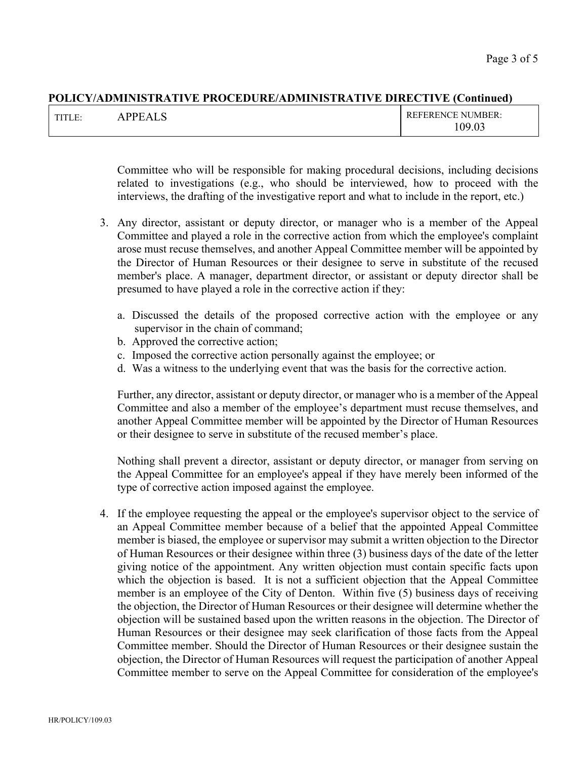| <b>THTP</b><br>. . | PDE<br>$\sim$<br>$^{\circ}$ A<br>. .<br>ື່ | <b>REFERENCE NUMBER:</b> |
|--------------------|--------------------------------------------|--------------------------|
|                    |                                            | 0Q.<br>ഹ<br>.US<br>v     |

Committee who will be responsible for making procedural decisions, including decisions related to investigations (e.g., who should be interviewed, how to proceed with the interviews, the drafting of the investigative report and what to include in the report, etc.)

- 3. Any director, assistant or deputy director, or manager who is a member of the Appeal Committee and played a role in the corrective action from which the employee's complaint arose must recuse themselves, and another Appeal Committee member will be appointed by the Director of Human Resources or their designee to serve in substitute of the recused member's place. A manager, department director, or assistant or deputy director shall be presumed to have played a role in the corrective action if they:
	- a. Discussed the details of the proposed corrective action with the employee or any supervisor in the chain of command;
	- b. Approved the corrective action;
	- c. Imposed the corrective action personally against the employee; or
	- d. Was a witness to the underlying event that was the basis for the corrective action.

Further, any director, assistant or deputy director, or manager who is a member of the Appeal Committee and also a member of the employee's department must recuse themselves, and another Appeal Committee member will be appointed by the Director of Human Resources or their designee to serve in substitute of the recused member's place.

Nothing shall prevent a director, assistant or deputy director, or manager from serving on the Appeal Committee for an employee's appeal if they have merely been informed of the type of corrective action imposed against the employee.

4. If the employee requesting the appeal or the employee's supervisor object to the service of an Appeal Committee member because of a belief that the appointed Appeal Committee member is biased, the employee or supervisor may submit a written objection to the Director of Human Resources or their designee within three (3) business days of the date of the letter giving notice of the appointment. Any written objection must contain specific facts upon which the objection is based. It is not a sufficient objection that the Appeal Committee member is an employee of the City of Denton. Within five (5) business days of receiving the objection, the Director of Human Resources or their designee will determine whether the objection will be sustained based upon the written reasons in the objection. The Director of Human Resources or their designee may seek clarification of those facts from the Appeal Committee member. Should the Director of Human Resources or their designee sustain the objection, the Director of Human Resources will request the participation of another Appeal Committee member to serve on the Appeal Committee for consideration of the employee's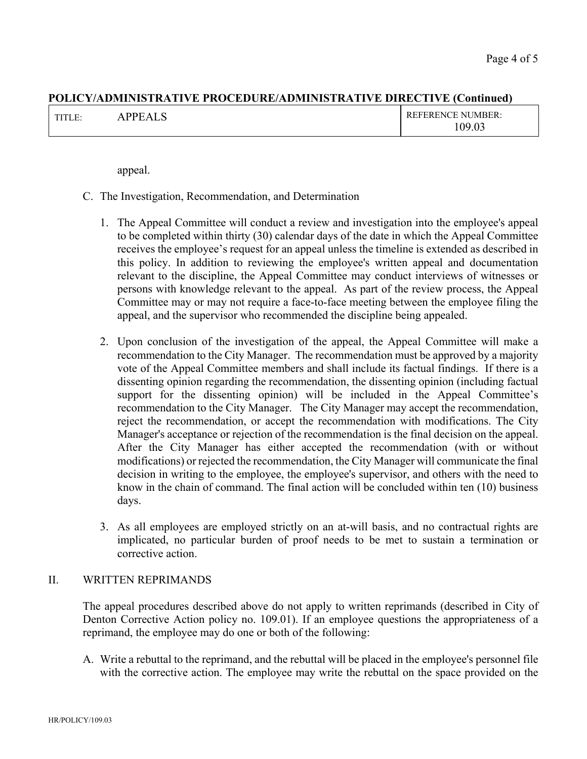| . | $\sim$ | IRER.<br>NH<br>N/I<br>$\sim$ $\sim$<br>∩ር |
|---|--------|-------------------------------------------|
|---|--------|-------------------------------------------|

appeal.

- C. The Investigation, Recommendation, and Determination
	- 1. The Appeal Committee will conduct a review and investigation into the employee's appeal to be completed within thirty (30) calendar days of the date in which the Appeal Committee receives the employee's request for an appeal unless the timeline is extended as described in this policy. In addition to reviewing the employee's written appeal and documentation relevant to the discipline, the Appeal Committee may conduct interviews of witnesses or persons with knowledge relevant to the appeal. As part of the review process, the Appeal Committee may or may not require a face-to-face meeting between the employee filing the appeal, and the supervisor who recommended the discipline being appealed.
	- 2. Upon conclusion of the investigation of the appeal, the Appeal Committee will make a recommendation to the City Manager. The recommendation must be approved by a majority vote of the Appeal Committee members and shall include its factual findings. If there is a dissenting opinion regarding the recommendation, the dissenting opinion (including factual support for the dissenting opinion) will be included in the Appeal Committee's recommendation to the City Manager. The City Manager may accept the recommendation, reject the recommendation, or accept the recommendation with modifications. The City Manager's acceptance or rejection of the recommendation is the final decision on the appeal. After the City Manager has either accepted the recommendation (with or without modifications) or rejected the recommendation, the City Manager will communicate the final decision in writing to the employee, the employee's supervisor, and others with the need to know in the chain of command. The final action will be concluded within ten (10) business days.
	- 3. As all employees are employed strictly on an at-will basis, and no contractual rights are implicated, no particular burden of proof needs to be met to sustain a termination or corrective action.

### II. WRITTEN REPRIMANDS

The appeal procedures described above do not apply to written reprimands (described in City of Denton Corrective Action policy no. 109.01). If an employee questions the appropriateness of a reprimand, the employee may do one or both of the following:

A. Write a rebuttal to the reprimand, and the rebuttal will be placed in the employee's personnel file with the corrective action. The employee may write the rebuttal on the space provided on the